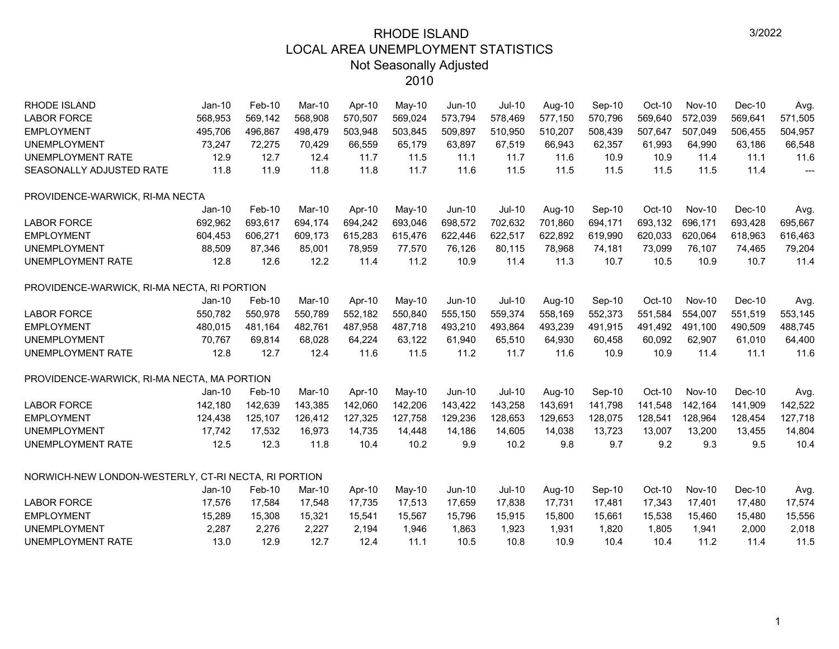| RHODE ISLAND                                         | Jan-10   | Feb-10  | Mar-10  | Apr-10  | May-10   | Jun-10  | Jul-10        | Aug-10  | Sep-10  | Oct-10  | <b>Nov-10</b> | Dec-10  | Avg.    |
|------------------------------------------------------|----------|---------|---------|---------|----------|---------|---------------|---------|---------|---------|---------------|---------|---------|
| <b>LABOR FORCE</b>                                   | 568,953  | 569,142 | 568,908 | 570,507 | 569,024  | 573,794 | 578,469       | 577,150 | 570,796 | 569,640 | 572,039       | 569,641 | 571,505 |
| <b>EMPLOYMENT</b>                                    | 495,706  | 496,867 | 498,479 | 503,948 | 503,845  | 509,897 | 510,950       | 510,207 | 508,439 | 507,647 | 507,049       | 506,455 | 504,957 |
| <b>UNEMPLOYMENT</b>                                  | 73,247   | 72,275  | 70,429  | 66,559  | 65,179   | 63,897  | 67,519        | 66,943  | 62,357  | 61,993  | 64,990        | 63,186  | 66,548  |
| UNEMPLOYMENT RATE                                    | 12.9     | 12.7    | 12.4    | 11.7    | 11.5     | 11.1    | 11.7          | 11.6    | 10.9    | 10.9    | 11.4          | 11.1    | 11.6    |
| SEASONALLY ADJUSTED RATE                             | 11.8     | 11.9    | 11.8    | 11.8    | 11.7     | 11.6    | 11.5          | 11.5    | 11.5    | 11.5    | 11.5          | 11.4    | ---     |
| PROVIDENCE-WARWICK, RI-MA NECTA                      |          |         |         |         |          |         |               |         |         |         |               |         |         |
|                                                      | Jan-10   | Feb-10  | Mar-10  | Apr-10  | May-10   | Jun-10  | $Jul-10$      | Aug-10  | Sep-10  | Oct-10  | <b>Nov-10</b> | Dec-10  | Avg     |
| <b>LABOR FORCE</b>                                   | 692,962  | 693,617 | 694,174 | 694,242 | 693,046  | 698,572 | 702,632       | 701,860 | 694,171 | 693,132 | 696,171       | 693,428 | 695,667 |
| <b>EMPLOYMENT</b>                                    | 604,453  | 606,271 | 609,173 | 615,283 | 615,476  | 622,446 | 622,517       | 622,892 | 619,990 | 620,033 | 620,064       | 618,963 | 616,463 |
| <b>UNEMPLOYMENT</b>                                  | 88,509   | 87,346  | 85,001  | 78,959  | 77,570   | 76,126  | 80,115        | 78,968  | 74,181  | 73,099  | 76,107        | 74,465  | 79,204  |
| <b>UNEMPLOYMENT RATE</b>                             | 12.8     | 12.6    | 12.2    | 11.4    | 11.2     | 10.9    | 11.4          | 11.3    | 10.7    | 10.5    | 10.9          | 10.7    | 11.4    |
| PROVIDENCE-WARWICK, RI-MA NECTA, RI PORTION          |          |         |         |         |          |         |               |         |         |         |               |         |         |
|                                                      | $Jan-10$ | Feb-10  | Mar-10  | Apr-10  | May-10   | Jun-10  | <b>Jul-10</b> | Aug-10  | Sep-10  | Oct-10  | <b>Nov-10</b> | Dec-10  | Avg.    |
| <b>LABOR FORCE</b>                                   | 550,782  | 550,978 | 550,789 | 552,182 | 550,840  | 555,150 | 559,374       | 558,169 | 552,373 | 551,584 | 554,007       | 551,519 | 553,145 |
| <b>EMPLOYMENT</b>                                    | 480,015  | 481,164 | 482,761 | 487,958 | 487,718  | 493,210 | 493,864       | 493,239 | 491,915 | 491,492 | 491,100       | 490,509 | 488,745 |
| <b>UNEMPLOYMENT</b>                                  | 70,767   | 69,814  | 68,028  | 64,224  | 63,122   | 61,940  | 65,510        | 64,930  | 60,458  | 60,092  | 62,907        | 61,010  | 64,400  |
| <b>UNEMPLOYMENT RATE</b>                             | 12.8     | 12.7    | 12.4    | 11.6    | 11.5     | 11.2    | 11.7          | 11.6    | 10.9    | 10.9    | 11.4          | 11.1    | 11.6    |
| PROVIDENCE-WARWICK, RI-MA NECTA, MA PORTION          |          |         |         |         |          |         |               |         |         |         |               |         |         |
|                                                      | $Jan-10$ | Feb-10  | Mar-10  | Apr-10  | May-10   | Jun-10  | $Jul-10$      | Aug-10  | Sep-10  | Oct-10  | <b>Nov-10</b> | Dec-10  | Avg.    |
| <b>LABOR FORCE</b>                                   | 142,180  | 142,639 | 143,385 | 142,060 | 142,206  | 143,422 | 143,258       | 143,691 | 141,798 | 141,548 | 142,164       | 141,909 | 142,522 |
| <b>EMPLOYMENT</b>                                    | 124,438  | 125,107 | 126,412 | 127,325 | 127,758  | 129,236 | 128,653       | 129,653 | 128,075 | 128,541 | 128,964       | 128,454 | 127,718 |
| <b>UNEMPLOYMENT</b>                                  | 17,742   | 17,532  | 16,973  | 14,735  | 14,448   | 14,186  | 14,605        | 14,038  | 13,723  | 13,007  | 13,200        | 13,455  | 14,804  |
| UNEMPLOYMENT RATE                                    | 12.5     | 12.3    | 11.8    | 10.4    | 10.2     | 9.9     | 10.2          | 9.8     | 9.7     | 9.2     | 9.3           | 9.5     | 10.4    |
| NORWICH-NEW LONDON-WESTERLY, CT-RI NECTA, RI PORTION |          |         |         |         |          |         |               |         |         |         |               |         |         |
|                                                      | $Jan-10$ | Feb-10  | Mar-10  | Apr-10  | $May-10$ | Jun-10  | $Jul-10$      | Aug-10  | Sep-10  | Oct-10  | <b>Nov-10</b> | Dec-10  | Avg.    |
| <b>LABOR FORCE</b>                                   | 17,576   | 17,584  | 17,548  | 17,735  | 17,513   | 17,659  | 17,838        | 17,731  | 17,481  | 17,343  | 17,401        | 17,480  | 17,574  |
| <b>EMPLOYMENT</b>                                    | 15,289   | 15,308  | 15,321  | 15,541  | 15,567   | 15,796  | 15,915        | 15,800  | 15,661  | 15,538  | 15,460        | 15,480  | 15,556  |
| <b>UNEMPLOYMENT</b>                                  | 2,287    | 2,276   | 2,227   | 2,194   | 1,946    | 1,863   | 1,923         | 1,931   | 1,820   | 1,805   | 1,941         | 2,000   | 2,018   |
| <b>UNEMPLOYMENT RATE</b>                             | 13.0     | 12.9    | 12.7    | 12.4    | 11.1     | 10.5    | 10.8          | 10.9    | 10.4    | 10.4    | 11.2          | 11.4    | 11.5    |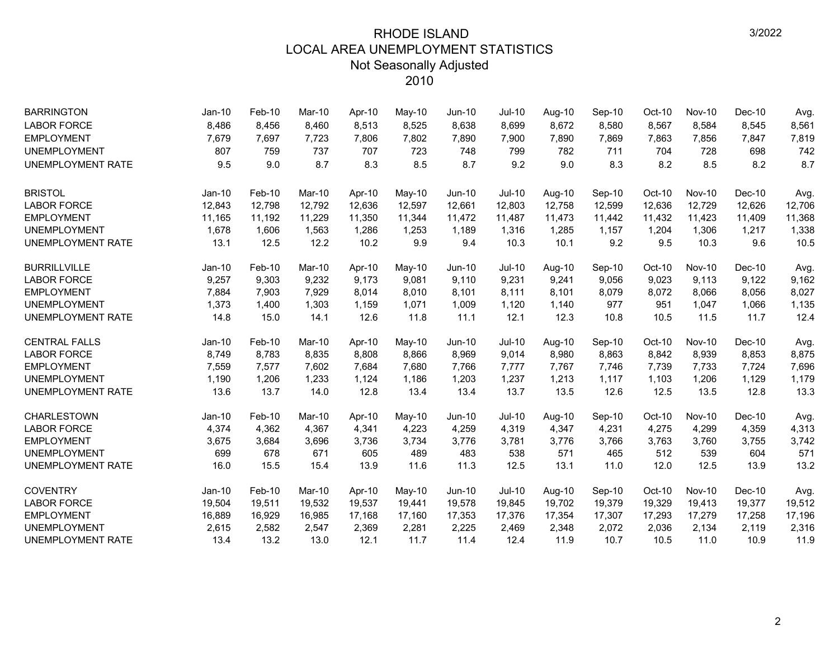| <b>BARRINGTON</b>        | Jan-10   | Feb-10 | Mar-10 | Apr-10 | May-10   | $Jun-10$      | <b>Jul-10</b> | Aug-10 | Sep-10 | $Oct-10$ | <b>Nov-10</b> | $Dec-10$ | Avg.   |
|--------------------------|----------|--------|--------|--------|----------|---------------|---------------|--------|--------|----------|---------------|----------|--------|
| <b>LABOR FORCE</b>       | 8,486    | 8,456  | 8,460  | 8,513  | 8,525    | 8,638         | 8,699         | 8,672  | 8,580  | 8,567    | 8,584         | 8,545    | 8,561  |
| <b>EMPLOYMENT</b>        | 7,679    | 7,697  | 7,723  | 7,806  | 7,802    | 7,890         | 7,900         | 7,890  | 7,869  | 7,863    | 7,856         | 7,847    | 7,819  |
| <b>UNEMPLOYMENT</b>      | 807      | 759    | 737    | 707    | 723      | 748           | 799           | 782    | 711    | 704      | 728           | 698      | 742    |
| <b>UNEMPLOYMENT RATE</b> | 9.5      | 9.0    | 8.7    | 8.3    | 8.5      | 8.7           | 9.2           | 9.0    | 8.3    | 8.2      | 8.5           | 8.2      | 8.7    |
| <b>BRISTOL</b>           | Jan-10   | Feb-10 | Mar-10 | Apr-10 | May-10   | <b>Jun-10</b> | <b>Jul-10</b> | Aug-10 | Sep-10 | Oct-10   | <b>Nov-10</b> | Dec-10   | Avg.   |
| <b>LABOR FORCE</b>       | 12,843   | 12,798 | 12,792 | 12,636 | 12,597   | 12,661        | 12,803        | 12,758 | 12,599 | 12,636   | 12,729        | 12,626   | 12,706 |
| <b>EMPLOYMENT</b>        | 11,165   | 11,192 | 11,229 | 11,350 | 11,344   | 11,472        | 11,487        | 11,473 | 11,442 | 11,432   | 11,423        | 11,409   | 11,368 |
| <b>UNEMPLOYMENT</b>      | 1,678    | 1,606  | 1,563  | 1,286  | 1,253    | 1,189         | 1,316         | 1,285  | 1,157  | 1,204    | 1,306         | 1,217    | 1,338  |
| <b>UNEMPLOYMENT RATE</b> | 13.1     | 12.5   | 12.2   | 10.2   | 9.9      | 9.4           | 10.3          | 10.1   | 9.2    | 9.5      | 10.3          | 9.6      | 10.5   |
| <b>BURRILLVILLE</b>      | $Jan-10$ | Feb-10 | Mar-10 | Apr-10 | $May-10$ | Jun-10        | <b>Jul-10</b> | Aug-10 | Sep-10 | Oct-10   | <b>Nov-10</b> | $Dec-10$ | Avg.   |
| <b>LABOR FORCE</b>       | 9,257    | 9,303  | 9.232  | 9.173  | 9,081    | 9,110         | 9,231         | 9,241  | 9,056  | 9,023    | 9,113         | 9,122    | 9,162  |
| <b>EMPLOYMENT</b>        | 7,884    | 7,903  | 7,929  | 8,014  | 8,010    | 8,101         | 8,111         | 8,101  | 8,079  | 8,072    | 8,066         | 8,056    | 8,027  |
| <b>UNEMPLOYMENT</b>      | 1,373    | 1,400  | 1,303  | 1,159  | 1,071    | 1,009         | 1,120         | 1,140  | 977    | 951      | 1,047         | 1,066    | 1,135  |
| <b>UNEMPLOYMENT RATE</b> | 14.8     | 15.0   | 14.1   | 12.6   | 11.8     | 11.1          | 12.1          | 12.3   | 10.8   | 10.5     | 11.5          | 11.7     | 12.4   |
| <b>CENTRAL FALLS</b>     | Jan-10   | Feb-10 | Mar-10 | Apr-10 | May-10   | Jun-10        | <b>Jul-10</b> | Aug-10 | Sep-10 | $Oct-10$ | <b>Nov-10</b> | $Dec-10$ | Avg.   |
| <b>LABOR FORCE</b>       | 8,749    | 8,783  | 8,835  | 8,808  | 8,866    | 8,969         | 9,014         | 8,980  | 8,863  | 8,842    | 8,939         | 8,853    | 8,875  |
| <b>EMPLOYMENT</b>        | 7,559    | 7,577  | 7,602  | 7,684  | 7,680    | 7,766         | 7,777         | 7,767  | 7,746  | 7,739    | 7,733         | 7,724    | 7,696  |
| <b>UNEMPLOYMENT</b>      | 1,190    | 1,206  | 1,233  | 1,124  | 1,186    | 1,203         | 1,237         | 1,213  | 1,117  | 1,103    | 1,206         | 1,129    | 1,179  |
| <b>UNEMPLOYMENT RATE</b> | 13.6     | 13.7   | 14.0   | 12.8   | 13.4     | 13.4          | 13.7          | 13.5   | 12.6   | 12.5     | 13.5          | 12.8     | 13.3   |
| CHARLESTOWN              | Jan-10   | Feb-10 | Mar-10 | Apr-10 | May-10   | Jun-10        | <b>Jul-10</b> | Aug-10 | Sep-10 | Oct-10   | <b>Nov-10</b> | Dec-10   | Avg.   |
| <b>LABOR FORCE</b>       | 4,374    | 4,362  | 4,367  | 4,341  | 4,223    | 4,259         | 4,319         | 4,347  | 4,231  | 4,275    | 4,299         | 4,359    | 4,313  |
| <b>EMPLOYMENT</b>        | 3,675    | 3,684  | 3,696  | 3,736  | 3,734    | 3,776         | 3,781         | 3,776  | 3,766  | 3,763    | 3,760         | 3,755    | 3,742  |
| <b>UNEMPLOYMENT</b>      | 699      | 678    | 671    | 605    | 489      | 483           | 538           | 571    | 465    | 512      | 539           | 604      | 571    |
| <b>UNEMPLOYMENT RATE</b> | 16.0     | 15.5   | 15.4   | 13.9   | 11.6     | 11.3          | 12.5          | 13.1   | 11.0   | 12.0     | 12.5          | 13.9     | 13.2   |
| <b>COVENTRY</b>          | $Jan-10$ | Feb-10 | Mar-10 | Apr-10 | May-10   | Jun-10        | $Jul-10$      | Aug-10 | Sep-10 | Oct-10   | <b>Nov-10</b> | Dec-10   | Avg.   |
| <b>LABOR FORCE</b>       | 19,504   | 19,511 | 19,532 | 19,537 | 19,441   | 19,578        | 19,845        | 19,702 | 19,379 | 19,329   | 19,413        | 19,377   | 19,512 |
| <b>EMPLOYMENT</b>        | 16,889   | 16,929 | 16,985 | 17,168 | 17,160   | 17,353        | 17,376        | 17,354 | 17,307 | 17,293   | 17,279        | 17,258   | 17,196 |
| <b>UNEMPLOYMENT</b>      | 2,615    | 2,582  | 2,547  | 2,369  | 2,281    | 2,225         | 2,469         | 2,348  | 2,072  | 2,036    | 2,134         | 2,119    | 2,316  |
| <b>UNEMPLOYMENT RATE</b> | 13.4     | 13.2   | 13.0   | 12.1   | 11.7     | 11.4          | 12.4          | 11.9   | 10.7   | 10.5     | 11.0          | 10.9     | 11.9   |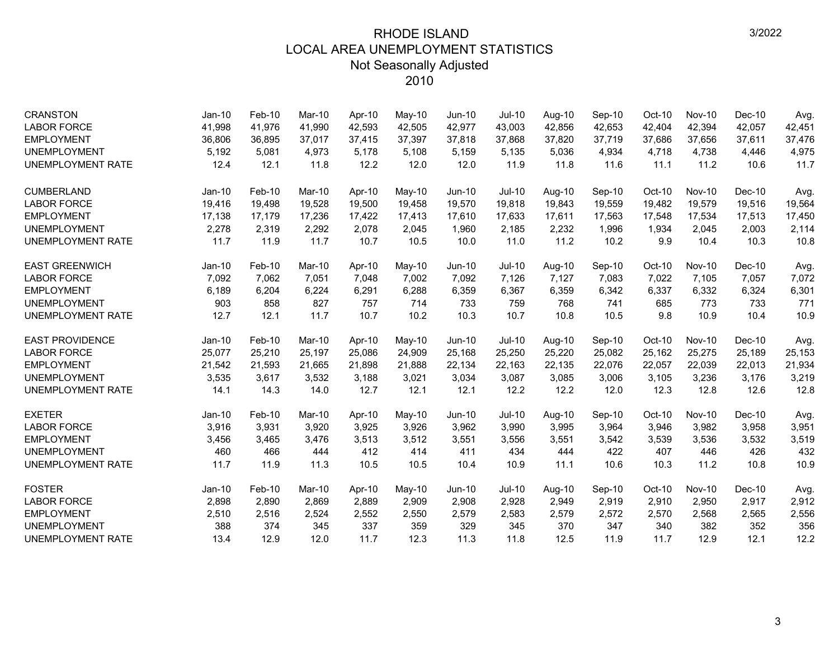| <b>CRANSTON</b>          | $Jan-10$      | Feb-10   | Mar-10 | Apr-10 | May-10 | Jun-10        | Jul-10        | Aug-10 | Sep-10 | Oct-10 | <b>Nov-10</b> | $Dec-10$ | Avg.   |
|--------------------------|---------------|----------|--------|--------|--------|---------------|---------------|--------|--------|--------|---------------|----------|--------|
| <b>LABOR FORCE</b>       | 41,998        | 41,976   | 41,990 | 42,593 | 42,505 | 42,977        | 43,003        | 42,856 | 42,653 | 42,404 | 42,394        | 42,057   | 42,451 |
| <b>EMPLOYMENT</b>        | 36,806        | 36,895   | 37,017 | 37,415 | 37,397 | 37,818        | 37,868        | 37,820 | 37,719 | 37,686 | 37,656        | 37,611   | 37,476 |
| <b>UNEMPLOYMENT</b>      | 5,192         | 5,081    | 4,973  | 5,178  | 5,108  | 5,159         | 5,135         | 5,036  | 4,934  | 4,718  | 4,738         | 4,446    | 4,975  |
| <b>UNEMPLOYMENT RATE</b> | 12.4          | 12.1     | 11.8   | 12.2   | 12.0   | 12.0          | 11.9          | 11.8   | 11.6   | 11.1   | 11.2          | 10.6     | 11.7   |
| <b>CUMBERLAND</b>        | Jan-10        | Feb-10   | Mar-10 | Apr-10 | May-10 | <b>Jun-10</b> | <b>Jul-10</b> | Aug-10 | Sep-10 | Oct-10 | <b>Nov-10</b> | $Dec-10$ | Avg.   |
| <b>LABOR FORCE</b>       | 19,416        | 19,498   | 19,528 | 19,500 | 19,458 | 19,570        | 19,818        | 19,843 | 19,559 | 19,482 | 19,579        | 19,516   | 19,564 |
| <b>EMPLOYMENT</b>        | 17,138        | 17,179   | 17,236 | 17,422 | 17,413 | 17,610        | 17,633        | 17,611 | 17,563 | 17,548 | 17,534        | 17,513   | 17,450 |
| <b>UNEMPLOYMENT</b>      | 2,278         | 2,319    | 2,292  | 2,078  | 2,045  | 1,960         | 2,185         | 2,232  | 1,996  | 1,934  | 2,045         | 2,003    | 2,114  |
| <b>UNEMPLOYMENT RATE</b> | 11.7          | 11.9     | 11.7   | 10.7   | 10.5   | 10.0          | 11.0          | 11.2   | 10.2   | 9.9    | 10.4          | 10.3     | 10.8   |
| <b>EAST GREENWICH</b>    | <b>Jan-10</b> | Feb-10   | Mar-10 | Apr-10 | May-10 | Jun-10        | $Jul-10$      | Aug-10 | Sep-10 | Oct-10 | <b>Nov-10</b> | Dec-10   | Avg.   |
| <b>LABOR FORCE</b>       | 7,092         | 7,062    | 7,051  | 7,048  | 7,002  | 7,092         | 7,126         | 7,127  | 7,083  | 7,022  | 7,105         | 7,057    | 7,072  |
| <b>EMPLOYMENT</b>        | 6,189         | 6,204    | 6,224  | 6,291  | 6,288  | 6,359         | 6,367         | 6,359  | 6,342  | 6,337  | 6,332         | 6,324    | 6,301  |
| <b>UNEMPLOYMENT</b>      | 903           | 858      | 827    | 757    | 714    | 733           | 759           | 768    | 741    | 685    | 773           | 733      | 771    |
| <b>UNEMPLOYMENT RATE</b> | 12.7          | 12.1     | 11.7   | 10.7   | 10.2   | 10.3          | 10.7          | 10.8   | 10.5   | 9.8    | 10.9          | 10.4     | 10.9   |
| <b>EAST PROVIDENCE</b>   | $Jan-10$      | Feb-10   | Mar-10 | Apr-10 | May-10 | Jun-10        | <b>Jul-10</b> | Aug-10 | Sep-10 | Oct-10 | <b>Nov-10</b> | $Dec-10$ | Avg.   |
| <b>LABOR FORCE</b>       | 25,077        | 25,210   | 25,197 | 25,086 | 24,909 | 25,168        | 25,250        | 25,220 | 25,082 | 25,162 | 25,275        | 25,189   | 25,153 |
| <b>EMPLOYMENT</b>        | 21,542        | 21,593   | 21,665 | 21,898 | 21,888 | 22,134        | 22,163        | 22,135 | 22,076 | 22,057 | 22,039        | 22,013   | 21,934 |
| <b>UNEMPLOYMENT</b>      | 3,535         | 3,617    | 3,532  | 3,188  | 3,021  | 3,034         | 3,087         | 3,085  | 3,006  | 3,105  | 3,236         | 3,176    | 3,219  |
| <b>UNEMPLOYMENT RATE</b> | 14.1          | 14.3     | 14.0   | 12.7   | 12.1   | 12.1          | 12.2          | 12.2   | 12.0   | 12.3   | 12.8          | 12.6     | 12.8   |
| <b>EXETER</b>            | $Jan-10$      | Feb-10   | Mar-10 | Apr-10 | May-10 | Jun-10        | Jul-10        | Aug-10 | Sep-10 | Oct-10 | <b>Nov-10</b> | $Dec-10$ | Avg.   |
| <b>LABOR FORCE</b>       | 3,916         | 3,931    | 3,920  | 3,925  | 3,926  | 3,962         | 3,990         | 3,995  | 3,964  | 3,946  | 3,982         | 3,958    | 3,951  |
| <b>EMPLOYMENT</b>        | 3,456         | 3,465    | 3,476  | 3,513  | 3,512  | 3,551         | 3,556         | 3,551  | 3,542  | 3,539  | 3,536         | 3,532    | 3,519  |
| <b>UNEMPLOYMENT</b>      | 460           | 466      | 444    | 412    | 414    | 411           | 434           | 444    | 422    | 407    | 446           | 426      | 432    |
| <b>UNEMPLOYMENT RATE</b> | 11.7          | 11.9     | 11.3   | 10.5   | 10.5   | 10.4          | 10.9          | 11.1   | 10.6   | 10.3   | 11.2          | 10.8     | 10.9   |
| <b>FOSTER</b>            | $Jan-10$      | $Feb-10$ | Mar-10 | Apr-10 | May-10 | $Jun-10$      | $Jul-10$      | Aug-10 | Sep-10 | Oct-10 | <b>Nov-10</b> | $Dec-10$ | Avg.   |
| <b>LABOR FORCE</b>       | 2,898         | 2,890    | 2,869  | 2,889  | 2,909  | 2,908         | 2,928         | 2,949  | 2,919  | 2,910  | 2,950         | 2,917    | 2,912  |
| <b>EMPLOYMENT</b>        | 2,510         | 2,516    | 2,524  | 2,552  | 2,550  | 2,579         | 2,583         | 2,579  | 2,572  | 2,570  | 2,568         | 2,565    | 2,556  |
| <b>UNEMPLOYMENT</b>      | 388           | 374      | 345    | 337    | 359    | 329           | 345           | 370    | 347    | 340    | 382           | 352      | 356    |
| <b>UNEMPLOYMENT RATE</b> | 13.4          | 12.9     | 12.0   | 11.7   | 12.3   | 11.3          | 11.8          | 12.5   | 11.9   | 11.7   | 12.9          | 12.1     | 12.2   |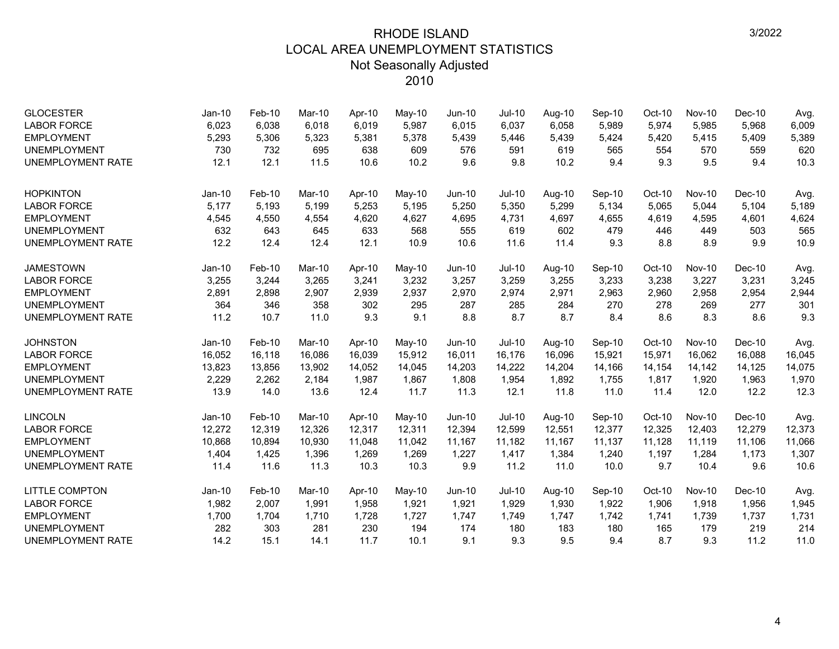| <b>GLOCESTER</b>         | Jan-10   | Feb-10 | Mar-10 | Apr-10 | May-10   | $Jun-10$ | <b>Jul-10</b> | Aug-10 | Sep-10 | Oct-10   | <b>Nov-10</b> | $Dec-10$ | Avg.   |
|--------------------------|----------|--------|--------|--------|----------|----------|---------------|--------|--------|----------|---------------|----------|--------|
| <b>LABOR FORCE</b>       | 6,023    | 6,038  | 6,018  | 6,019  | 5,987    | 6,015    | 6,037         | 6,058  | 5,989  | 5,974    | 5,985         | 5,968    | 6,009  |
| <b>EMPLOYMENT</b>        | 5,293    | 5,306  | 5,323  | 5,381  | 5,378    | 5,439    | 5,446         | 5,439  | 5,424  | 5,420    | 5,415         | 5,409    | 5,389  |
| <b>UNEMPLOYMENT</b>      | 730      | 732    | 695    | 638    | 609      | 576      | 591           | 619    | 565    | 554      | 570           | 559      | 620    |
| <b>UNEMPLOYMENT RATE</b> | 12.1     | 12.1   | 11.5   | 10.6   | 10.2     | 9.6      | 9.8           | 10.2   | 9.4    | 9.3      | 9.5           | 9.4      | 10.3   |
| <b>HOPKINTON</b>         | Jan-10   | Feb-10 | Mar-10 | Apr-10 | May-10   | Jun-10   | <b>Jul-10</b> | Aug-10 | Sep-10 | $Oct-10$ | <b>Nov-10</b> | $Dec-10$ | Avg.   |
| <b>LABOR FORCE</b>       | 5,177    | 5,193  | 5,199  | 5,253  | 5,195    | 5,250    | 5,350         | 5,299  | 5,134  | 5,065    | 5,044         | 5,104    | 5,189  |
| <b>EMPLOYMENT</b>        | 4,545    | 4,550  | 4,554  | 4,620  | 4,627    | 4,695    | 4,731         | 4,697  | 4,655  | 4,619    | 4,595         | 4,601    | 4,624  |
| <b>UNEMPLOYMENT</b>      | 632      | 643    | 645    | 633    | 568      | 555      | 619           | 602    | 479    | 446      | 449           | 503      | 565    |
| <b>UNEMPLOYMENT RATE</b> | 12.2     | 12.4   | 12.4   | 12.1   | 10.9     | 10.6     | 11.6          | 11.4   | 9.3    | 8.8      | 8.9           | 9.9      | 10.9   |
| <b>JAMESTOWN</b>         | $Jan-10$ | Feb-10 | Mar-10 | Apr-10 | $May-10$ | $Jun-10$ | <b>Jul-10</b> | Aug-10 | Sep-10 | $Oct-10$ | <b>Nov-10</b> | $Dec-10$ | Avg.   |
| <b>LABOR FORCE</b>       | 3,255    | 3,244  | 3,265  | 3,241  | 3,232    | 3,257    | 3,259         | 3,255  | 3,233  | 3,238    | 3,227         | 3,231    | 3,245  |
| <b>EMPLOYMENT</b>        | 2,891    | 2,898  | 2,907  | 2,939  | 2,937    | 2,970    | 2,974         | 2,971  | 2,963  | 2,960    | 2,958         | 2,954    | 2,944  |
| <b>UNEMPLOYMENT</b>      | 364      | 346    | 358    | 302    | 295      | 287      | 285           | 284    | 270    | 278      | 269           | 277      | 301    |
| <b>UNEMPLOYMENT RATE</b> | 11.2     | 10.7   | 11.0   | 9.3    | 9.1      | 8.8      | 8.7           | 8.7    | 8.4    | 8.6      | 8.3           | 8.6      | 9.3    |
| <b>JOHNSTON</b>          | $Jan-10$ | Feb-10 | Mar-10 | Apr-10 | May-10   | Jun-10   | <b>Jul-10</b> | Aug-10 | Sep-10 | Oct-10   | <b>Nov-10</b> | $Dec-10$ | Avg.   |
| <b>LABOR FORCE</b>       | 16,052   | 16,118 | 16,086 | 16,039 | 15,912   | 16,011   | 16.176        | 16,096 | 15,921 | 15,971   | 16.062        | 16,088   | 16,045 |
| <b>EMPLOYMENT</b>        | 13,823   | 13,856 | 13,902 | 14,052 | 14,045   | 14,203   | 14,222        | 14,204 | 14,166 | 14,154   | 14,142        | 14,125   | 14,075 |
| <b>UNEMPLOYMENT</b>      | 2,229    | 2,262  | 2,184  | 1,987  | 1,867    | 1,808    | 1,954         | 1,892  | 1,755  | 1,817    | 1,920         | 1,963    | 1,970  |
| <b>UNEMPLOYMENT RATE</b> | 13.9     | 14.0   | 13.6   | 12.4   | 11.7     | 11.3     | 12.1          | 11.8   | 11.0   | 11.4     | 12.0          | 12.2     | 12.3   |
| <b>LINCOLN</b>           | Jan-10   | Feb-10 | Mar-10 | Apr-10 | May-10   | $Jun-10$ | <b>Jul-10</b> | Aug-10 | Sep-10 | Oct-10   | <b>Nov-10</b> | $Dec-10$ | Avg.   |
| <b>LABOR FORCE</b>       | 12,272   | 12,319 | 12,326 | 12,317 | 12,311   | 12,394   | 12,599        | 12,551 | 12,377 | 12,325   | 12,403        | 12,279   | 12,373 |
| <b>EMPLOYMENT</b>        | 10,868   | 10,894 | 10.930 | 11,048 | 11,042   | 11,167   | 11,182        | 11,167 | 11,137 | 11,128   | 11,119        | 11,106   | 11,066 |
| <b>UNEMPLOYMENT</b>      | 1,404    | 1,425  | 1,396  | 1,269  | 1,269    | 1,227    | 1,417         | 1,384  | 1,240  | 1,197    | 1,284         | 1,173    | 1,307  |
| <b>UNEMPLOYMENT RATE</b> | 11.4     | 11.6   | 11.3   | 10.3   | 10.3     | 9.9      | 11.2          | 11.0   | 10.0   | 9.7      | 10.4          | 9.6      | 10.6   |
| <b>LITTLE COMPTON</b>    | Jan-10   | Feb-10 | Mar-10 | Apr-10 | May-10   | $Jun-10$ | <b>Jul-10</b> | Aug-10 | Sep-10 | Oct-10   | <b>Nov-10</b> | $Dec-10$ | Avg.   |
| <b>LABOR FORCE</b>       | 1,982    | 2,007  | 1,991  | 1,958  | 1,921    | 1,921    | 1,929         | 1,930  | 1,922  | 1,906    | 1,918         | 1,956    | 1,945  |
| <b>EMPLOYMENT</b>        | 1,700    | 1,704  | 1,710  | 1,728  | 1,727    | 1,747    | 1,749         | 1,747  | 1,742  | 1,741    | 1,739         | 1,737    | 1,731  |
| <b>UNEMPLOYMENT</b>      | 282      | 303    | 281    | 230    | 194      | 174      | 180           | 183    | 180    | 165      | 179           | 219      | 214    |
| <b>UNEMPLOYMENT RATE</b> | 14.2     | 15.1   | 14.1   | 11.7   | 10.1     | 9.1      | 9.3           | 9.5    | 9.4    | 8.7      | 9.3           | 11.2     | 11.0   |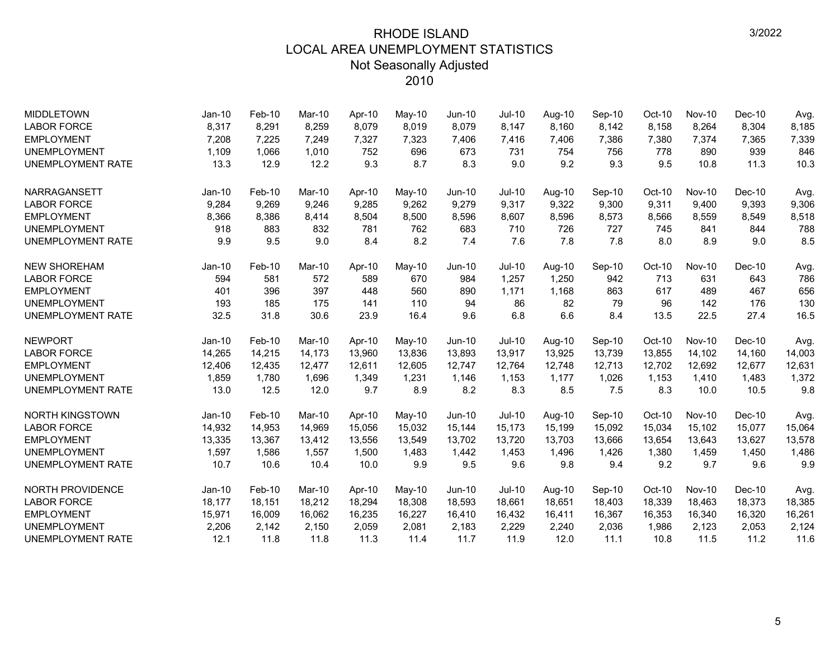| <b>MIDDLETOWN</b>        | Jan-10   | Feb-10   | Mar-10 | Apr-10 | May-10 | <b>Jun-10</b> | <b>Jul-10</b> | Aug-10 | Sep-10 | $Oct-10$ | <b>Nov-10</b> | Dec-10   | Avg.   |
|--------------------------|----------|----------|--------|--------|--------|---------------|---------------|--------|--------|----------|---------------|----------|--------|
| <b>LABOR FORCE</b>       | 8,317    | 8,291    | 8,259  | 8,079  | 8,019  | 8,079         | 8,147         | 8,160  | 8,142  | 8,158    | 8,264         | 8,304    | 8,185  |
| <b>EMPLOYMENT</b>        | 7,208    | 7,225    | 7,249  | 7,327  | 7,323  | 7,406         | 7,416         | 7,406  | 7,386  | 7,380    | 7,374         | 7,365    | 7,339  |
| <b>UNEMPLOYMENT</b>      | 1,109    | 1,066    | 1,010  | 752    | 696    | 673           | 731           | 754    | 756    | 778      | 890           | 939      | 846    |
| <b>UNEMPLOYMENT RATE</b> | 13.3     | 12.9     | 12.2   | 9.3    | 8.7    | 8.3           | 9.0           | 9.2    | 9.3    | 9.5      | 10.8          | 11.3     | 10.3   |
| NARRAGANSETT             | $Jan-10$ | Feb-10   | Mar-10 | Apr-10 | May-10 | Jun-10        | Jul-10        | Aug-10 | Sep-10 | Oct-10   | <b>Nov-10</b> | Dec-10   | Avg.   |
| <b>LABOR FORCE</b>       | 9,284    | 9,269    | 9,246  | 9,285  | 9,262  | 9,279         | 9,317         | 9,322  | 9,300  | 9,311    | 9,400         | 9,393    | 9,306  |
| <b>EMPLOYMENT</b>        | 8,366    | 8,386    | 8,414  | 8,504  | 8,500  | 8,596         | 8,607         | 8,596  | 8,573  | 8,566    | 8,559         | 8,549    | 8,518  |
| <b>UNEMPLOYMENT</b>      | 918      | 883      | 832    | 781    | 762    | 683           | 710           | 726    | 727    | 745      | 841           | 844      | 788    |
| UNEMPLOYMENT RATE        | 9.9      | 9.5      | 9.0    | 8.4    | 8.2    | 7.4           | 7.6           | 7.8    | 7.8    | 8.0      | 8.9           | 9.0      | 8.5    |
| <b>NEW SHOREHAM</b>      | $Jan-10$ | Feb-10   | Mar-10 | Apr-10 | May-10 | Jun-10        | <b>Jul-10</b> | Aug-10 | Sep-10 | Oct-10   | <b>Nov-10</b> | $Dec-10$ | Avg.   |
| <b>LABOR FORCE</b>       | 594      | 581      | 572    | 589    | 670    | 984           | 1,257         | 1,250  | 942    | 713      | 631           | 643      | 786    |
| <b>EMPLOYMENT</b>        | 401      | 396      | 397    | 448    | 560    | 890           | 1,171         | 1,168  | 863    | 617      | 489           | 467      | 656    |
| <b>UNEMPLOYMENT</b>      | 193      | 185      | 175    | 141    | 110    | 94            | 86            | 82     | 79     | 96       | 142           | 176      | 130    |
| UNEMPLOYMENT RATE        | 32.5     | 31.8     | 30.6   | 23.9   | 16.4   | 9.6           | 6.8           | 6.6    | 8.4    | 13.5     | 22.5          | 27.4     | 16.5   |
| <b>NEWPORT</b>           | $Jan-10$ | Feb-10   | Mar-10 | Apr-10 | May-10 | <b>Jun-10</b> | <b>Jul-10</b> | Aug-10 | Sep-10 | Oct-10   | <b>Nov-10</b> | $Dec-10$ | Avg.   |
| <b>LABOR FORCE</b>       | 14,265   | 14,215   | 14,173 | 13,960 | 13,836 | 13,893        | 13,917        | 13,925 | 13,739 | 13,855   | 14,102        | 14,160   | 14,003 |
| <b>EMPLOYMENT</b>        | 12,406   | 12,435   | 12,477 | 12,611 | 12,605 | 12,747        | 12,764        | 12,748 | 12,713 | 12,702   | 12,692        | 12,677   | 12,631 |
| <b>UNEMPLOYMENT</b>      | 1,859    | 1,780    | 1,696  | 1,349  | 1,231  | 1,146         | 1,153         | 1,177  | 1,026  | 1,153    | 1,410         | 1,483    | 1,372  |
| UNEMPLOYMENT RATE        | 13.0     | 12.5     | 12.0   | 9.7    | 8.9    | 8.2           | 8.3           | 8.5    | 7.5    | 8.3      | 10.0          | 10.5     | 9.8    |
| <b>NORTH KINGSTOWN</b>   | $Jan-10$ | Feb-10   | Mar-10 | Apr-10 | May-10 | <b>Jun-10</b> | $Jul-10$      | Aug-10 | Sep-10 | Oct-10   | <b>Nov-10</b> | $Dec-10$ | Avg.   |
| <b>LABOR FORCE</b>       | 14,932   | 14,953   | 14,969 | 15,056 | 15,032 | 15,144        | 15,173        | 15,199 | 15,092 | 15,034   | 15,102        | 15,077   | 15,064 |
| <b>EMPLOYMENT</b>        | 13,335   | 13,367   | 13,412 | 13,556 | 13,549 | 13,702        | 13,720        | 13,703 | 13,666 | 13,654   | 13,643        | 13,627   | 13,578 |
| <b>UNEMPLOYMENT</b>      | 1,597    | 1,586    | 1,557  | 1,500  | 1,483  | 1,442         | 1,453         | 1,496  | 1,426  | 1,380    | 1,459         | 1,450    | 1,486  |
| UNEMPLOYMENT RATE        | 10.7     | 10.6     | 10.4   | 10.0   | 9.9    | 9.5           | 9.6           | 9.8    | 9.4    | 9.2      | 9.7           | 9.6      | 9.9    |
| <b>NORTH PROVIDENCE</b>  | $Jan-10$ | $Feb-10$ | Mar-10 | Apr-10 | May-10 | <b>Jun-10</b> | $Jul-10$      | Aug-10 | Sep-10 | Oct-10   | <b>Nov-10</b> | $Dec-10$ | Avg.   |
| <b>LABOR FORCE</b>       | 18,177   | 18,151   | 18,212 | 18,294 | 18,308 | 18,593        | 18,661        | 18,651 | 18,403 | 18,339   | 18,463        | 18,373   | 18,385 |
| <b>EMPLOYMENT</b>        | 15,971   | 16,009   | 16,062 | 16,235 | 16,227 | 16,410        | 16,432        | 16,411 | 16,367 | 16,353   | 16,340        | 16,320   | 16,261 |
| <b>UNEMPLOYMENT</b>      | 2,206    | 2,142    | 2,150  | 2,059  | 2,081  | 2,183         | 2,229         | 2,240  | 2,036  | 1,986    | 2,123         | 2,053    | 2,124  |
| <b>UNEMPLOYMENT RATE</b> | 12.1     | 11.8     | 11.8   | 11.3   | 11.4   | 11.7          | 11.9          | 12.0   | 11.1   | 10.8     | 11.5          | 11.2     | 11.6   |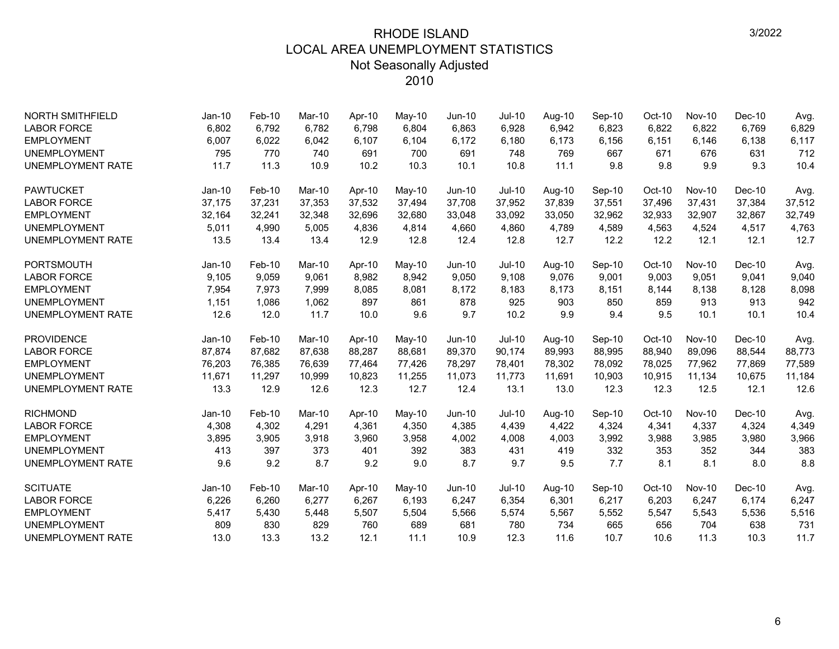| <b>NORTH SMITHFIELD</b>  | $Jan-10$ | $Feb-10$ | Mar-10 | Apr-10 | May-10 | <b>Jun-10</b> | <b>Jul-10</b> | Aug-10 | Sep-10 | Oct-10   | <b>Nov-10</b> | $Dec-10$ | Avg.   |
|--------------------------|----------|----------|--------|--------|--------|---------------|---------------|--------|--------|----------|---------------|----------|--------|
| <b>LABOR FORCE</b>       | 6,802    | 6,792    | 6,782  | 6,798  | 6,804  | 6,863         | 6,928         | 6,942  | 6,823  | 6,822    | 6,822         | 6,769    | 6,829  |
| <b>EMPLOYMENT</b>        | 6,007    | 6,022    | 6,042  | 6,107  | 6,104  | 6,172         | 6,180         | 6,173  | 6,156  | 6,151    | 6,146         | 6,138    | 6,117  |
| <b>UNEMPLOYMENT</b>      | 795      | 770      | 740    | 691    | 700    | 691           | 748           | 769    | 667    | 671      | 676           | 631      | 712    |
| <b>UNEMPLOYMENT RATE</b> | 11.7     | 11.3     | 10.9   | 10.2   | 10.3   | 10.1          | 10.8          | 11.1   | 9.8    | 9.8      | 9.9           | 9.3      | 10.4   |
| <b>PAWTUCKET</b>         | $Jan-10$ | Feb-10   | Mar-10 | Apr-10 | May-10 | Jun-10        | <b>Jul-10</b> | Aug-10 | Sep-10 | Oct-10   | <b>Nov-10</b> | $Dec-10$ | Avg.   |
| <b>LABOR FORCE</b>       | 37,175   | 37,231   | 37,353 | 37,532 | 37,494 | 37,708        | 37,952        | 37,839 | 37,551 | 37,496   | 37,431        | 37,384   | 37,512 |
| <b>EMPLOYMENT</b>        | 32,164   | 32,241   | 32,348 | 32,696 | 32,680 | 33,048        | 33,092        | 33,050 | 32,962 | 32,933   | 32,907        | 32,867   | 32,749 |
| <b>UNEMPLOYMENT</b>      | 5,011    | 4,990    | 5,005  | 4,836  | 4,814  | 4,660         | 4,860         | 4,789  | 4,589  | 4,563    | 4,524         | 4,517    | 4,763  |
| <b>UNEMPLOYMENT RATE</b> | 13.5     | 13.4     | 13.4   | 12.9   | 12.8   | 12.4          | 12.8          | 12.7   | 12.2   | 12.2     | 12.1          | 12.1     | 12.7   |
| <b>PORTSMOUTH</b>        | $Jan-10$ | Feb-10   | Mar-10 | Apr-10 | May-10 | $Jun-10$      | <b>Jul-10</b> | Aug-10 | Sep-10 | Oct-10   | <b>Nov-10</b> | $Dec-10$ | Avg.   |
| <b>LABOR FORCE</b>       | 9,105    | 9,059    | 9,061  | 8,982  | 8,942  | 9,050         | 9,108         | 9,076  | 9,001  | 9,003    | 9,051         | 9,041    | 9,040  |
| <b>EMPLOYMENT</b>        | 7,954    | 7,973    | 7,999  | 8,085  | 8,081  | 8,172         | 8,183         | 8,173  | 8,151  | 8,144    | 8,138         | 8,128    | 8,098  |
| <b>UNEMPLOYMENT</b>      | 1,151    | 1,086    | 1,062  | 897    | 861    | 878           | 925           | 903    | 850    | 859      | 913           | 913      | 942    |
| <b>UNEMPLOYMENT RATE</b> | 12.6     | 12.0     | 11.7   | 10.0   | 9.6    | 9.7           | 10.2          | 9.9    | 9.4    | 9.5      | 10.1          | 10.1     | 10.4   |
| <b>PROVIDENCE</b>        | Jan-10   | Feb-10   | Mar-10 | Apr-10 | May-10 | Jun-10        | <b>Jul-10</b> | Aug-10 | Sep-10 | Oct-10   | <b>Nov-10</b> | $Dec-10$ | Avg.   |
| <b>LABOR FORCE</b>       | 87,874   | 87,682   | 87.638 | 88,287 | 88,681 | 89,370        | 90,174        | 89,993 | 88,995 | 88,940   | 89,096        | 88,544   | 88,773 |
| <b>EMPLOYMENT</b>        | 76,203   | 76,385   | 76.639 | 77,464 | 77,426 | 78,297        | 78,401        | 78,302 | 78,092 | 78,025   | 77,962        | 77,869   | 77,589 |
| <b>UNEMPLOYMENT</b>      | 11.671   | 11,297   | 10,999 | 10,823 | 11,255 | 11,073        | 11,773        | 11,691 | 10,903 | 10,915   | 11,134        | 10,675   | 11,184 |
| <b>UNEMPLOYMENT RATE</b> | 13.3     | 12.9     | 12.6   | 12.3   | 12.7   | 12.4          | 13.1          | 13.0   | 12.3   | 12.3     | 12.5          | 12.1     | 12.6   |
| <b>RICHMOND</b>          | $Jan-10$ | Feb-10   | Mar-10 | Apr-10 | May-10 | $Jun-10$      | <b>Jul-10</b> | Aug-10 | Sep-10 | Oct-10   | <b>Nov-10</b> | $Dec-10$ | Avg.   |
| <b>LABOR FORCE</b>       | 4,308    | 4,302    | 4,291  | 4,361  | 4,350  | 4,385         | 4,439         | 4,422  | 4,324  | 4,341    | 4,337         | 4,324    | 4,349  |
| <b>EMPLOYMENT</b>        | 3,895    | 3,905    | 3,918  | 3,960  | 3,958  | 4,002         | 4,008         | 4,003  | 3,992  | 3,988    | 3,985         | 3,980    | 3,966  |
| <b>UNEMPLOYMENT</b>      | 413      | 397      | 373    | 401    | 392    | 383           | 431           | 419    | 332    | 353      | 352           | 344      | 383    |
| <b>UNEMPLOYMENT RATE</b> | 9.6      | 9.2      | 8.7    | 9.2    | 9.0    | 8.7           | 9.7           | 9.5    | 7.7    | 8.1      | 8.1           | 8.0      | 8.8    |
| <b>SCITUATE</b>          | $Jan-10$ | Feb-10   | Mar-10 | Apr-10 | May-10 | Jun-10        | <b>Jul-10</b> | Aug-10 | Sep-10 | $Oct-10$ | <b>Nov-10</b> | $Dec-10$ | Avg.   |
| <b>LABOR FORCE</b>       | 6,226    | 6,260    | 6,277  | 6,267  | 6,193  | 6,247         | 6,354         | 6,301  | 6,217  | 6,203    | 6,247         | 6,174    | 6,247  |
| <b>EMPLOYMENT</b>        | 5,417    | 5,430    | 5,448  | 5,507  | 5,504  | 5,566         | 5,574         | 5,567  | 5,552  | 5,547    | 5,543         | 5,536    | 5,516  |
| <b>UNEMPLOYMENT</b>      | 809      | 830      | 829    | 760    | 689    | 681           | 780           | 734    | 665    | 656      | 704           | 638      | 731    |
| <b>UNEMPLOYMENT RATE</b> | 13.0     | 13.3     | 13.2   | 12.1   | 11.1   | 10.9          | 12.3          | 11.6   | 10.7   | 10.6     | 11.3          | 10.3     | 11.7   |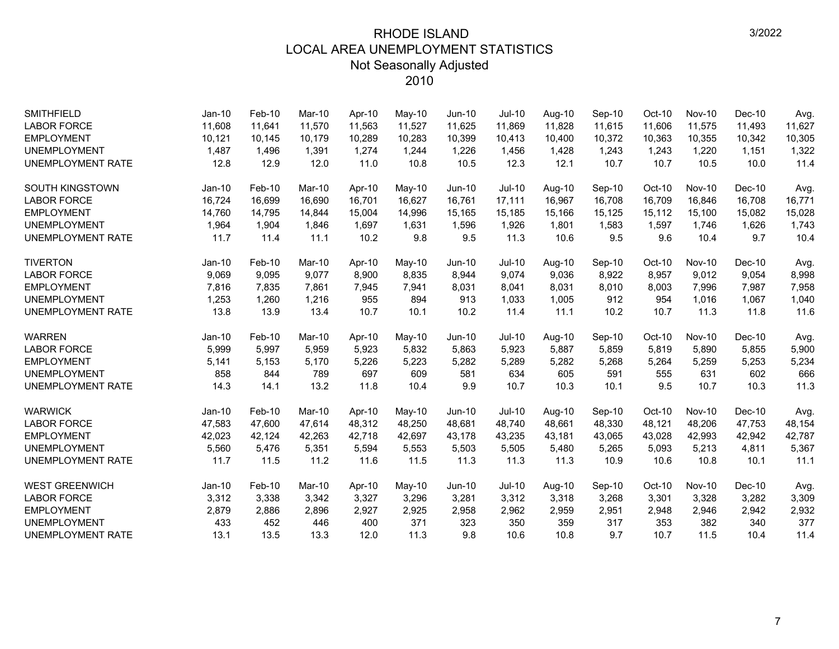| <b>SMITHFIELD</b>        | $Jan-10$ | $Feb-10$ | Mar-10 | Apr-10 | May-10   | <b>Jun-10</b> | Jul-10        | Aug-10 | Sep-10 | $Oct-10$ | <b>Nov-10</b> | $Dec-10$ | Avg.   |
|--------------------------|----------|----------|--------|--------|----------|---------------|---------------|--------|--------|----------|---------------|----------|--------|
| <b>LABOR FORCE</b>       | 11,608   | 11,641   | 11,570 | 11,563 | 11,527   | 11,625        | 11,869        | 11,828 | 11,615 | 11,606   | 11,575        | 11,493   | 11,627 |
| <b>EMPLOYMENT</b>        | 10,121   | 10,145   | 10.179 | 10,289 | 10,283   | 10,399        | 10,413        | 10,400 | 10,372 | 10,363   | 10,355        | 10,342   | 10,305 |
| <b>UNEMPLOYMENT</b>      | 1,487    | 1,496    | 1,391  | 1,274  | 1,244    | 1,226         | 1,456         | 1,428  | 1,243  | 1,243    | 1,220         | 1,151    | 1,322  |
| <b>UNEMPLOYMENT RATE</b> | 12.8     | 12.9     | 12.0   | 11.0   | 10.8     | 10.5          | 12.3          | 12.1   | 10.7   | 10.7     | 10.5          | 10.0     | 11.4   |
| <b>SOUTH KINGSTOWN</b>   | $Jan-10$ | Feb-10   | Mar-10 | Apr-10 | May-10   | Jun-10        | <b>Jul-10</b> | Aug-10 | Sep-10 | Oct-10   | <b>Nov-10</b> | $Dec-10$ | Avg.   |
| <b>LABOR FORCE</b>       | 16,724   | 16,699   | 16,690 | 16,701 | 16,627   | 16,761        | 17,111        | 16,967 | 16,708 | 16,709   | 16,846        | 16,708   | 16,771 |
| <b>EMPLOYMENT</b>        | 14,760   | 14,795   | 14,844 | 15,004 | 14,996   | 15,165        | 15,185        | 15,166 | 15,125 | 15,112   | 15,100        | 15,082   | 15,028 |
| <b>UNEMPLOYMENT</b>      | 1,964    | 1,904    | 1,846  | 1,697  | 1,631    | 1,596         | 1,926         | 1,801  | 1,583  | 1,597    | 1,746         | 1,626    | 1,743  |
| UNEMPLOYMENT RATE        | 11.7     | 11.4     | 11.1   | 10.2   | 9.8      | 9.5           | 11.3          | 10.6   | 9.5    | 9.6      | 10.4          | 9.7      | 10.4   |
| <b>TIVERTON</b>          | $Jan-10$ | $Feb-10$ | Mar-10 | Apr-10 | May-10   | $Jun-10$      | $Jul-10$      | Aug-10 | Sep-10 | Oct-10   | <b>Nov-10</b> | $Dec-10$ | Avg.   |
| <b>LABOR FORCE</b>       | 9,069    | 9,095    | 9,077  | 8,900  | 8,835    | 8,944         | 9,074         | 9,036  | 8,922  | 8,957    | 9,012         | 9,054    | 8,998  |
| <b>EMPLOYMENT</b>        | 7,816    | 7,835    | 7,861  | 7,945  | 7,941    | 8,031         | 8,041         | 8,031  | 8,010  | 8,003    | 7,996         | 7,987    | 7,958  |
| <b>UNEMPLOYMENT</b>      | 1,253    | 1,260    | 1,216  | 955    | 894      | 913           | 1,033         | 1,005  | 912    | 954      | 1,016         | 1,067    | 1,040  |
| <b>UNEMPLOYMENT RATE</b> | 13.8     | 13.9     | 13.4   | 10.7   | 10.1     | 10.2          | 11.4          | 11.1   | 10.2   | 10.7     | 11.3          | 11.8     | 11.6   |
| <b>WARREN</b>            | Jan-10   | Feb-10   | Mar-10 | Apr-10 | May-10   | $Jun-10$      | <b>Jul-10</b> | Aug-10 | Sep-10 | Oct-10   | <b>Nov-10</b> | $Dec-10$ | Avg.   |
| <b>LABOR FORCE</b>       | 5,999    | 5,997    | 5,959  | 5,923  | 5,832    | 5,863         | 5,923         | 5,887  | 5,859  | 5,819    | 5,890         | 5,855    | 5,900  |
| <b>EMPLOYMENT</b>        | 5,141    | 5,153    | 5,170  | 5,226  | 5,223    | 5,282         | 5,289         | 5,282  | 5,268  | 5,264    | 5,259         | 5,253    | 5,234  |
| <b>UNEMPLOYMENT</b>      | 858      | 844      | 789    | 697    | 609      | 581           | 634           | 605    | 591    | 555      | 631           | 602      | 666    |
| <b>UNEMPLOYMENT RATE</b> | 14.3     | 14.1     | 13.2   | 11.8   | 10.4     | 9.9           | 10.7          | 10.3   | 10.1   | 9.5      | 10.7          | 10.3     | 11.3   |
| <b>WARWICK</b>           | Jan-10   | Feb-10   | Mar-10 | Apr-10 | $May-10$ | Jun-10        | <b>Jul-10</b> | Aug-10 | Sep-10 | Oct-10   | <b>Nov-10</b> | $Dec-10$ | Avg.   |
| <b>LABOR FORCE</b>       | 47,583   | 47,600   | 47,614 | 48,312 | 48,250   | 48,681        | 48,740        | 48,661 | 48,330 | 48,121   | 48,206        | 47,753   | 48,154 |
| <b>EMPLOYMENT</b>        | 42,023   | 42,124   | 42,263 | 42,718 | 42,697   | 43,178        | 43,235        | 43,181 | 43,065 | 43,028   | 42,993        | 42,942   | 42,787 |
| <b>UNEMPLOYMENT</b>      | 5,560    | 5,476    | 5,351  | 5,594  | 5,553    | 5,503         | 5,505         | 5,480  | 5,265  | 5,093    | 5,213         | 4,811    | 5,367  |
| <b>UNEMPLOYMENT RATE</b> | 11.7     | 11.5     | 11.2   | 11.6   | 11.5     | 11.3          | 11.3          | 11.3   | 10.9   | 10.6     | 10.8          | 10.1     | 11.1   |
| <b>WEST GREENWICH</b>    | Jan-10   | Feb-10   | Mar-10 | Apr-10 | May-10   | Jun-10        | <b>Jul-10</b> | Aug-10 | Sep-10 | Oct-10   | <b>Nov-10</b> | $Dec-10$ | Avg.   |
| <b>LABOR FORCE</b>       | 3,312    | 3,338    | 3,342  | 3,327  | 3,296    | 3,281         | 3,312         | 3,318  | 3,268  | 3,301    | 3,328         | 3,282    | 3,309  |
| <b>EMPLOYMENT</b>        | 2,879    | 2,886    | 2,896  | 2,927  | 2,925    | 2,958         | 2,962         | 2,959  | 2,951  | 2,948    | 2,946         | 2,942    | 2,932  |
| <b>UNEMPLOYMENT</b>      | 433      | 452      | 446    | 400    | 371      | 323           | 350           | 359    | 317    | 353      | 382           | 340      | 377    |
| <b>UNEMPLOYMENT RATE</b> | 13.1     | 13.5     | 13.3   | 12.0   | 11.3     | 9.8           | 10.6          | 10.8   | 9.7    | 10.7     | 11.5          | 10.4     | 11.4   |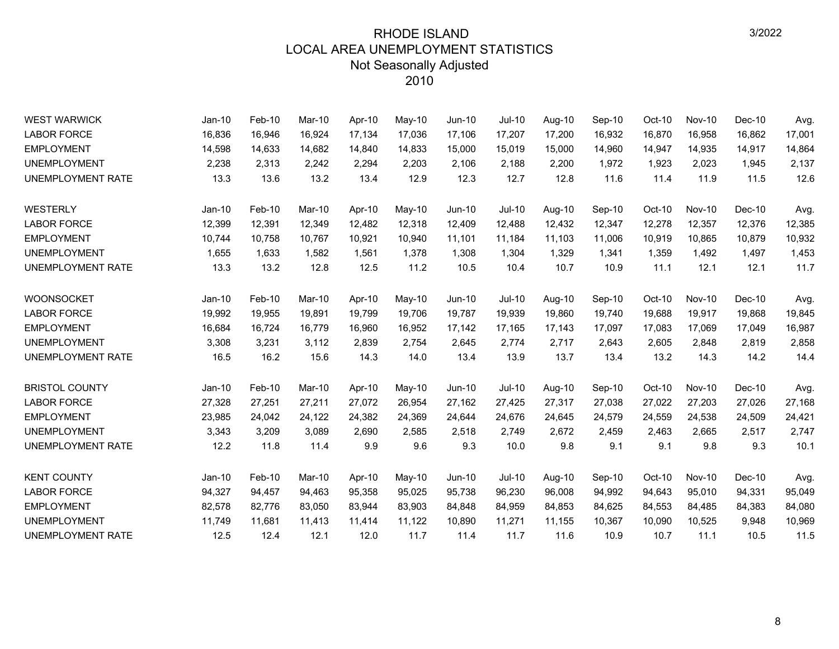| <b>WEST WARWICK</b>      | Jan-10   | Feb-10 | Mar-10 | Apr-10 | May-10   | Jun-10 | <b>Jul-10</b> | Aug-10 | Sep-10 | Oct-10 | <b>Nov-10</b> | $Dec-10$ | Avg.   |
|--------------------------|----------|--------|--------|--------|----------|--------|---------------|--------|--------|--------|---------------|----------|--------|
| <b>LABOR FORCE</b>       | 16,836   | 16,946 | 16,924 | 17,134 | 17,036   | 17,106 | 17,207        | 17,200 | 16,932 | 16,870 | 16,958        | 16,862   | 17,001 |
| <b>EMPLOYMENT</b>        | 14,598   | 14,633 | 14,682 | 14,840 | 14,833   | 15,000 | 15,019        | 15,000 | 14,960 | 14,947 | 14,935        | 14,917   | 14,864 |
| <b>UNEMPLOYMENT</b>      | 2,238    | 2,313  | 2,242  | 2,294  | 2,203    | 2,106  | 2,188         | 2,200  | 1,972  | 1,923  | 2,023         | 1,945    | 2,137  |
| <b>UNEMPLOYMENT RATE</b> | 13.3     | 13.6   | 13.2   | 13.4   | 12.9     | 12.3   | 12.7          | 12.8   | 11.6   | 11.4   | 11.9          | 11.5     | 12.6   |
| WESTERLY                 | $Jan-10$ | Feb-10 | Mar-10 | Apr-10 | May-10   | Jun-10 | <b>Jul-10</b> | Aug-10 | Sep-10 | Oct-10 | <b>Nov-10</b> | $Dec-10$ | Avg.   |
| <b>LABOR FORCE</b>       | 12,399   | 12,391 | 12,349 | 12,482 | 12,318   | 12,409 | 12,488        | 12,432 | 12,347 | 12,278 | 12,357        | 12,376   | 12,385 |
| <b>EMPLOYMENT</b>        | 10,744   | 10,758 | 10,767 | 10,921 | 10,940   | 11,101 | 11,184        | 11,103 | 11,006 | 10,919 | 10,865        | 10,879   | 10,932 |
| <b>UNEMPLOYMENT</b>      | 1,655    | 1,633  | 1,582  | 1,561  | 1,378    | 1,308  | 1,304         | 1,329  | 1,341  | 1,359  | 1,492         | 1,497    | 1,453  |
| UNEMPLOYMENT RATE        | 13.3     | 13.2   | 12.8   | 12.5   | 11.2     | 10.5   | 10.4          | 10.7   | 10.9   | 11.1   | 12.1          | 12.1     | 11.7   |
| <b>WOONSOCKET</b>        | $Jan-10$ | Feb-10 | Mar-10 | Apr-10 | May-10   | Jun-10 | <b>Jul-10</b> | Aug-10 | Sep-10 | Oct-10 | <b>Nov-10</b> | $Dec-10$ | Avg.   |
| <b>LABOR FORCE</b>       | 19,992   | 19,955 | 19,891 | 19,799 | 19,706   | 19,787 | 19,939        | 19,860 | 19,740 | 19,688 | 19,917        | 19,868   | 19,845 |
| <b>EMPLOYMENT</b>        | 16,684   | 16,724 | 16,779 | 16,960 | 16,952   | 17,142 | 17,165        | 17,143 | 17,097 | 17,083 | 17,069        | 17,049   | 16,987 |
| <b>UNEMPLOYMENT</b>      | 3,308    | 3,231  | 3,112  | 2,839  | 2,754    | 2,645  | 2,774         | 2,717  | 2,643  | 2,605  | 2,848         | 2,819    | 2,858  |
| UNEMPLOYMENT RATE        | 16.5     | 16.2   | 15.6   | 14.3   | 14.0     | 13.4   | 13.9          | 13.7   | 13.4   | 13.2   | 14.3          | 14.2     | 14.4   |
| <b>BRISTOL COUNTY</b>    | $Jan-10$ | Feb-10 | Mar-10 | Apr-10 | $May-10$ | Jun-10 | Jul-10        | Aug-10 | Sep-10 | Oct-10 | <b>Nov-10</b> | $Dec-10$ | Avg.   |
| <b>LABOR FORCE</b>       | 27,328   | 27,251 | 27,211 | 27,072 | 26,954   | 27,162 | 27,425        | 27,317 | 27,038 | 27,022 | 27,203        | 27,026   | 27,168 |
| <b>EMPLOYMENT</b>        | 23,985   | 24,042 | 24,122 | 24,382 | 24,369   | 24,644 | 24,676        | 24,645 | 24,579 | 24,559 | 24,538        | 24,509   | 24,421 |
| <b>UNEMPLOYMENT</b>      | 3,343    | 3,209  | 3,089  | 2,690  | 2,585    | 2,518  | 2,749         | 2,672  | 2,459  | 2,463  | 2,665         | 2,517    | 2,747  |
| <b>UNEMPLOYMENT RATE</b> | 12.2     | 11.8   | 11.4   | 9.9    | 9.6      | 9.3    | 10.0          | 9.8    | 9.1    | 9.1    | 9.8           | 9.3      | 10.1   |
| <b>KENT COUNTY</b>       | $Jan-10$ | Feb-10 | Mar-10 | Apr-10 | May-10   | Jun-10 | <b>Jul-10</b> | Aug-10 | Sep-10 | Oct-10 | <b>Nov-10</b> | $Dec-10$ | Avg.   |
| <b>LABOR FORCE</b>       | 94,327   | 94,457 | 94,463 | 95,358 | 95,025   | 95,738 | 96,230        | 96,008 | 94,992 | 94,643 | 95,010        | 94,331   | 95,049 |
| <b>EMPLOYMENT</b>        | 82,578   | 82,776 | 83,050 | 83,944 | 83,903   | 84,848 | 84,959        | 84,853 | 84,625 | 84,553 | 84,485        | 84,383   | 84,080 |
| <b>UNEMPLOYMENT</b>      | 11,749   | 11,681 | 11,413 | 11,414 | 11,122   | 10,890 | 11,271        | 11,155 | 10,367 | 10,090 | 10,525        | 9,948    | 10,969 |
| UNEMPLOYMENT RATE        | 12.5     | 12.4   | 12.1   | 12.0   | 11.7     | 11.4   | 11.7          | 11.6   | 10.9   | 10.7   | 11.1          | 10.5     | 11.5   |